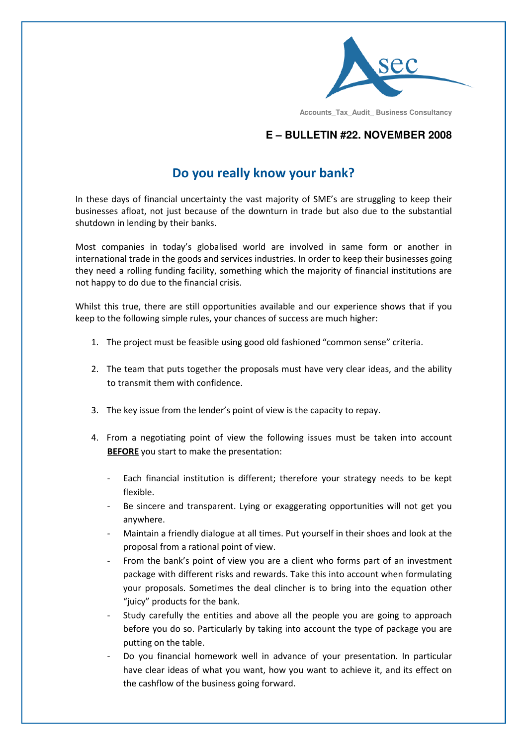

 **Accounts\_Tax\_Audit\_ Business Consultancy**

## **E – BULLETIN #22. NOVEMBER 2008**

## Do you really know your bank?

In these days of financial uncertainty the vast majority of SME's are struggling to keep their businesses afloat, not just because of the downturn in trade but also due to the substantial shutdown in lending by their banks.

Most companies in today's globalised world are involved in same form or another in international trade in the goods and services industries. In order to keep their businesses going they need a rolling funding facility, something which the majority of financial institutions are not happy to do due to the financial crisis.

Whilst this true, there are still opportunities available and our experience shows that if you keep to the following simple rules, your chances of success are much higher:

- 1. The project must be feasible using good old fashioned "common sense" criteria.
- 2. The team that puts together the proposals must have very clear ideas, and the ability to transmit them with confidence.
- 3. The key issue from the lender's point of view is the capacity to repay.
- 4. From a negotiating point of view the following issues must be taken into account BEFORE you start to make the presentation:
	- Each financial institution is different; therefore your strategy needs to be kept flexible.
	- Be sincere and transparent. Lying or exaggerating opportunities will not get you anywhere.
	- Maintain a friendly dialogue at all times. Put yourself in their shoes and look at the proposal from a rational point of view.
	- From the bank's point of view you are a client who forms part of an investment package with different risks and rewards. Take this into account when formulating your proposals. Sometimes the deal clincher is to bring into the equation other "juicy" products for the bank.
	- Study carefully the entities and above all the people you are going to approach before you do so. Particularly by taking into account the type of package you are putting on the table.
	- Do you financial homework well in advance of your presentation. In particular have clear ideas of what you want, how you want to achieve it, and its effect on the cashflow of the business going forward.